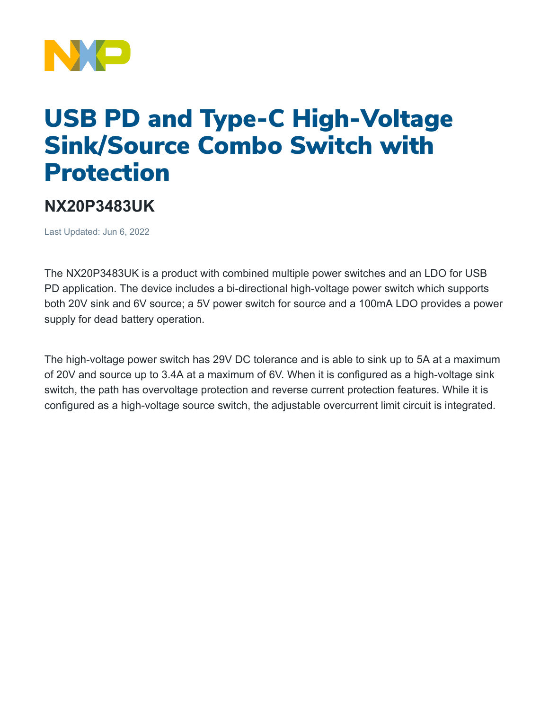

## USB PD and Type-C High-Voltage Sink/Source Combo Switch with Protection

## **NX20P3483UK**

Last Updated: Jun 6, 2022

The NX20P3483UK is a product with combined multiple power switches and an LDO for USB PD application. The device includes a bi-directional high-voltage power switch which supports both 20V sink and 6V source; a 5V power switch for source and a 100mA LDO provides a power supply for dead battery operation.

The high-voltage power switch has 29V DC tolerance and is able to sink up to 5A at a maximum of 20V and source up to 3.4A at a maximum of 6V. When it is configured as a high-voltage sink switch, the path has overvoltage protection and reverse current protection features. While it is configured as a high-voltage source switch, the adjustable overcurrent limit circuit is integrated.